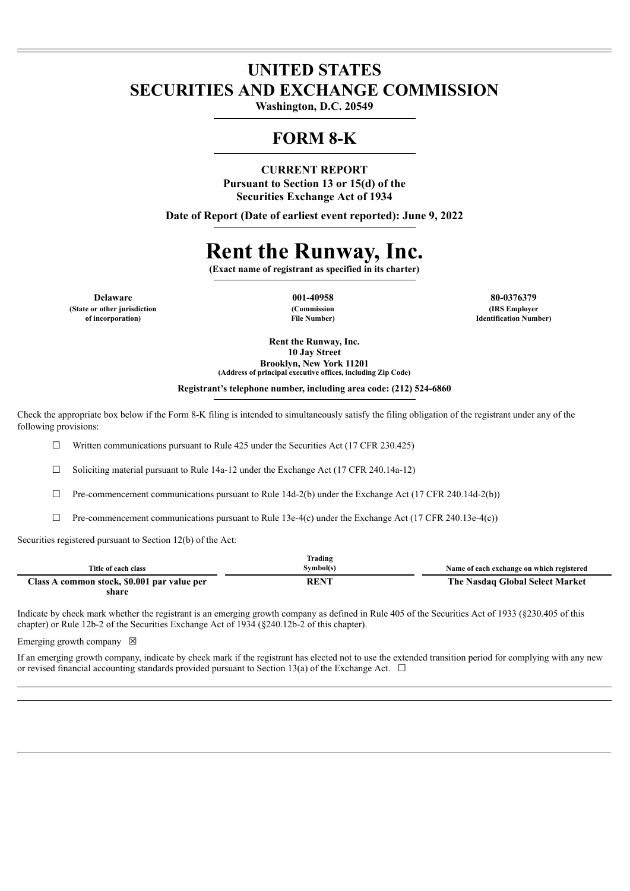## **UNITED STATES SECURITIES AND EXCHANGE COMMISSION**

**Washington, D.C. 20549**

# **FORM 8-K**

## **CURRENT REPORT Pursuant to Section 13 or 15(d) of the Securities Exchange Act of 1934**

**Date of Report (Date of earliest event reported): June 9, 2022**

# **Rent the Runway, Inc.**

**(Exact name of registrant as specified in its charter)**

**Delaware 001-40958 80-0376379 (State or other jurisdiction of incorporation)**

**(Commission File Number)**

**(IRS Employer Identification Number)**

**Rent the Runway, Inc. 10 Jay Street Brooklyn, New York 11201**

**(Address of principal executive offices, including Zip Code)**

**Registrant's telephone number, including area code: (212) 524-6860**

Check the appropriate box below if the Form 8-K filing is intended to simultaneously satisfy the filing obligation of the registrant under any of the following provisions:

 $\Box$  Written communications pursuant to Rule 425 under the Securities Act (17 CFR 230.425)

 $\Box$  Soliciting material pursuant to Rule 14a-12 under the Exchange Act (17 CFR 240.14a-12)

 $\Box$  Pre-commencement communications pursuant to Rule 14d-2(b) under the Exchange Act (17 CFR 240.14d-2(b))

 $\Box$  Pre-commencement communications pursuant to Rule 13e-4(c) under the Exchange Act (17 CFR 240.13e-4(c))

Securities registered pursuant to Section 12(b) of the Act:

|                                             | Trading   |                                           |
|---------------------------------------------|-----------|-------------------------------------------|
| Title of each class                         | Symbol(s) | Name of each exchange on which registered |
| Class A common stock, \$0.001 par value per | RENT      | The Nasdaq Global Select Market           |
| share                                       |           |                                           |

Indicate by check mark whether the registrant is an emerging growth company as defined in Rule 405 of the Securities Act of 1933 (§230.405 of this chapter) or Rule 12b-2 of the Securities Exchange Act of 1934 (§240.12b-2 of this chapter).

Emerging growth company  $\boxtimes$ 

If an emerging growth company, indicate by check mark if the registrant has elected not to use the extended transition period for complying with any new or revised financial accounting standards provided pursuant to Section 13(a) of the Exchange Act.  $\Box$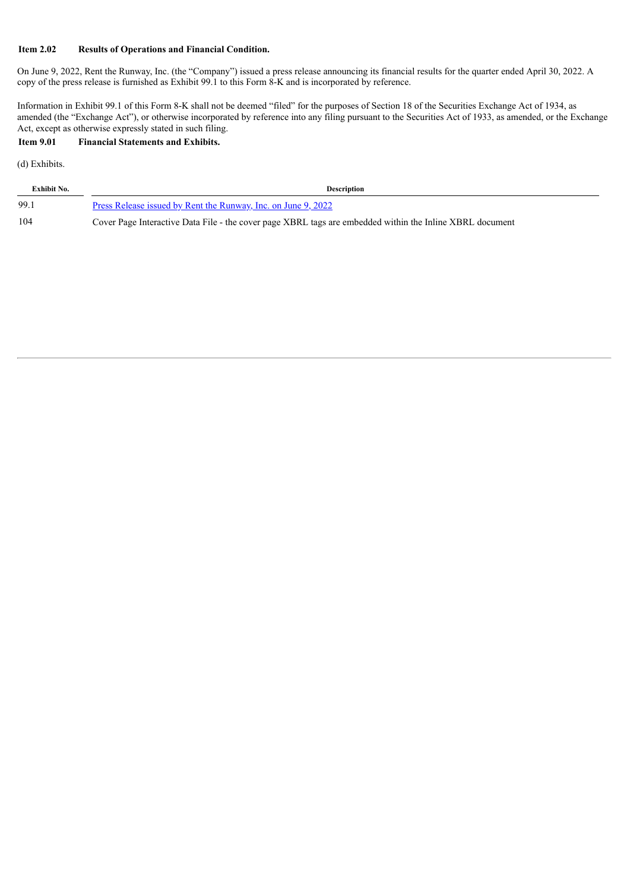#### **Item 2.02 Results of Operations and Financial Condition.**

On June 9, 2022, Rent the Runway, Inc. (the "Company") issued a press release announcing its financial results for the quarter ended April 30, 2022. A copy of the press release is furnished as Exhibit 99.1 to this Form 8-K and is incorporated by reference.

Information in Exhibit 99.1 of this Form 8-K shall not be deemed "filed" for the purposes of Section 18 of the Securities Exchange Act of 1934, as amended (the "Exchange Act"), or otherwise incorporated by reference into any filing pursuant to the Securities Act of 1933, as amended, or the Exchange Act, except as otherwise expressly stated in such filing.

#### **Item 9.01 Financial Statements and Exhibits.**

(d) Exhibits.

| <b>Exhibit No.</b> | <b>Description</b>                                                                                       |
|--------------------|----------------------------------------------------------------------------------------------------------|
| 99.1               | Press Release issued by Rent the Runway, Inc. on June 9, 2022                                            |
| 104                | Cover Page Interactive Data File - the cover page XBRL tags are embedded within the Inline XBRL document |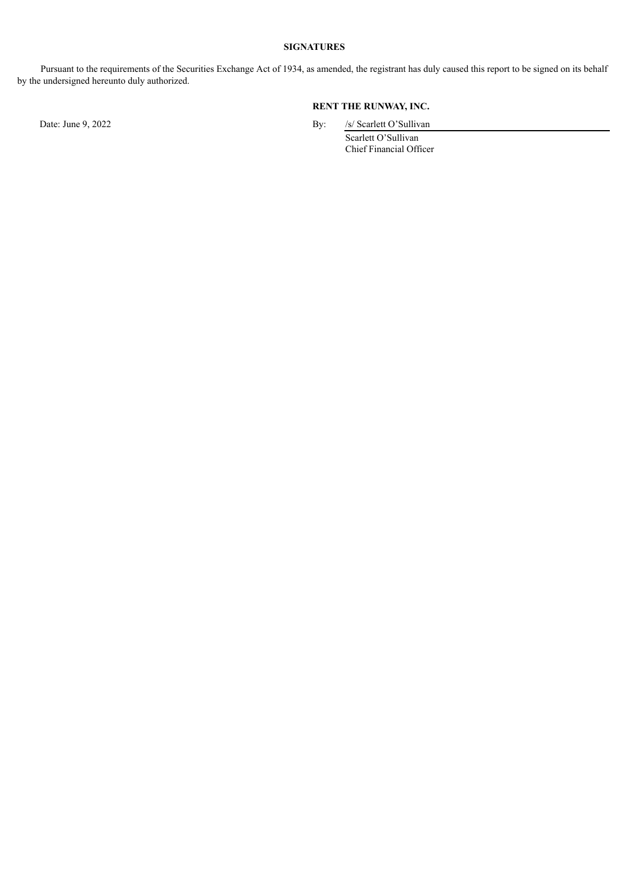#### **SIGNATURES**

Pursuant to the requirements of the Securities Exchange Act of 1934, as amended, the registrant has duly caused this report to be signed on its behalf by the undersigned hereunto duly authorized.

## **RENT THE RUNWAY, INC.**

Date: June 9, 2022 By: /s/ Scarlett O'Sullivan

Scarlett O'Sullivan Chief Financial Officer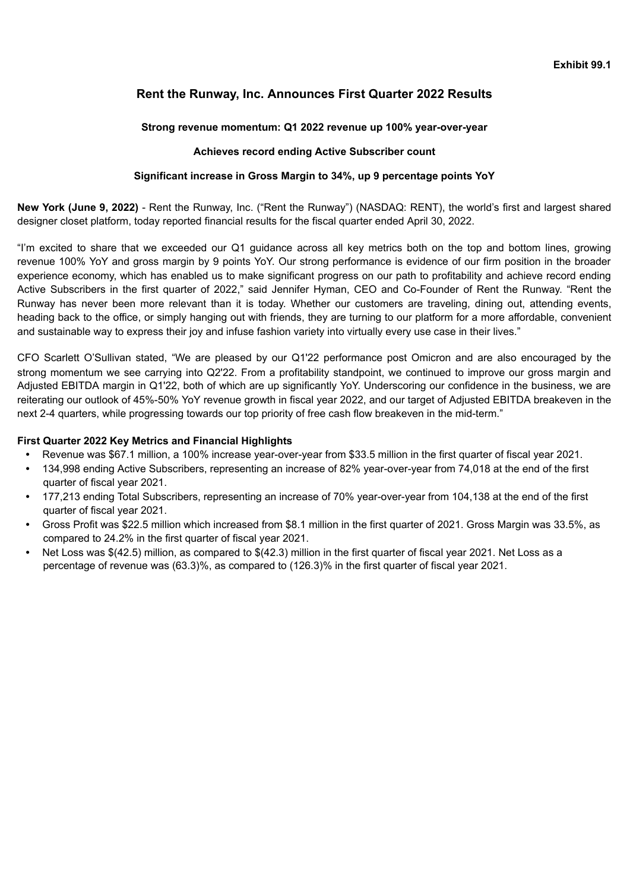## <span id="page-3-0"></span>**Rent the Runway, Inc. Announces First Quarter 2022 Results**

## **Strong revenue momentum: Q1 2022 revenue up 100% year-over-year**

## **Achieves record ending Active Subscriber count**

## **Significant increase in Gross Margin to 34%, up 9 percentage points YoY**

**New York (June 9, 2022)** - Rent the Runway, Inc. ("Rent the Runway") (NASDAQ: RENT), the world's first and largest shared designer closet platform, today reported financial results for the fiscal quarter ended April 30, 2022.

"I'm excited to share that we exceeded our Q1 guidance across all key metrics both on the top and bottom lines, growing revenue 100% YoY and gross margin by 9 points YoY. Our strong performance is evidence of our firm position in the broader experience economy, which has enabled us to make significant progress on our path to profitability and achieve record ending Active Subscribers in the first quarter of 2022," said Jennifer Hyman, CEO and Co-Founder of Rent the Runway. "Rent the Runway has never been more relevant than it is today. Whether our customers are traveling, dining out, attending events, heading back to the office, or simply hanging out with friends, they are turning to our platform for a more affordable, convenient and sustainable way to express their joy and infuse fashion variety into virtually every use case in their lives."

CFO Scarlett O'Sullivan stated, "We are pleased by our Q1'22 performance post Omicron and are also encouraged by the strong momentum we see carrying into Q2'22. From a profitability standpoint, we continued to improve our gross margin and Adjusted EBITDA margin in Q1'22, both of which are up significantly YoY. Underscoring our confidence in the business, we are reiterating our outlook of 45%-50% YoY revenue growth in fiscal year 2022, and our target of Adjusted EBITDA breakeven in the next 2-4 quarters, while progressing towards our top priority of free cash flow breakeven in the mid-term."

## **First Quarter 2022 Key Metrics and Financial Highlights**

- **•** Revenue was \$67.1 million, a 100% increase year-over-year from \$33.5 million in the first quarter of fiscal year 2021.
- **•** 134,998 ending Active Subscribers, representing an increase of 82% year-over-year from 74,018 at the end of the first quarter of fiscal year 2021.
- **•** 177,213 ending Total Subscribers, representing an increase of 70% year-over-year from 104,138 at the end of the first quarter of fiscal year 2021.
- **•** Gross Profit was \$22.5 million which increased from \$8.1 million in the first quarter of 2021. Gross Margin was 33.5%, as compared to 24.2% in the first quarter of fiscal year 2021.
- **•** Net Loss was \$(42.5) million, as compared to \$(42.3) million in the first quarter of fiscal year 2021. Net Loss as a percentage of revenue was (63.3)%, as compared to (126.3)% in the first quarter of fiscal year 2021.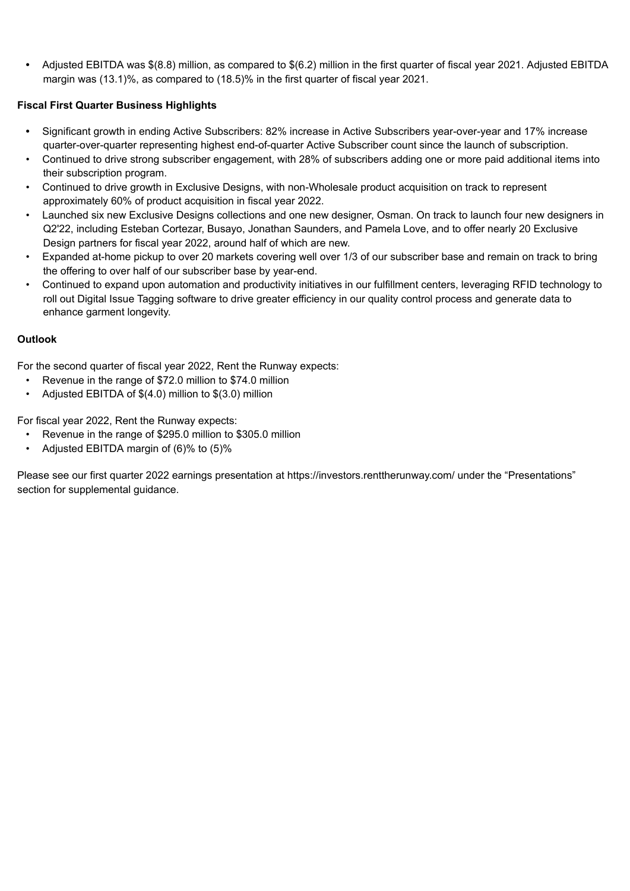**•** Adjusted EBITDA was \$(8.8) million, as compared to \$(6.2) million in the first quarter of fiscal year 2021. Adjusted EBITDA margin was (13.1)%, as compared to (18.5)% in the first quarter of fiscal year 2021.

## **Fiscal First Quarter Business Highlights**

- **•** Significant growth in ending Active Subscribers: 82% increase in Active Subscribers year-over-year and 17% increase quarter-over-quarter representing highest end-of-quarter Active Subscriber count since the launch of subscription.
- Continued to drive strong subscriber engagement, with 28% of subscribers adding one or more paid additional items into their subscription program.
- Continued to drive growth in Exclusive Designs, with non-Wholesale product acquisition on track to represent approximately 60% of product acquisition in fiscal year 2022.
- Launched six new Exclusive Designs collections and one new designer, Osman. On track to launch four new designers in Q2'22, including Esteban Cortezar, Busayo, Jonathan Saunders, and Pamela Love, and to offer nearly 20 Exclusive Design partners for fiscal year 2022, around half of which are new.
- Expanded at-home pickup to over 20 markets covering well over 1/3 of our subscriber base and remain on track to bring the offering to over half of our subscriber base by year-end.
- Continued to expand upon automation and productivity initiatives in our fulfillment centers, leveraging RFID technology to roll out Digital Issue Tagging software to drive greater efficiency in our quality control process and generate data to enhance garment longevity.

## **Outlook**

For the second quarter of fiscal year 2022, Rent the Runway expects:

- Revenue in the range of \$72.0 million to \$74.0 million
- Adjusted EBITDA of \$(4.0) million to \$(3.0) million

For fiscal year 2022, Rent the Runway expects:

- Revenue in the range of \$295.0 million to \$305.0 million
- Adjusted EBITDA margin of (6)% to (5)%

Please see our first quarter 2022 earnings presentation at https://investors.renttherunway.com/ under the "Presentations" section for supplemental guidance.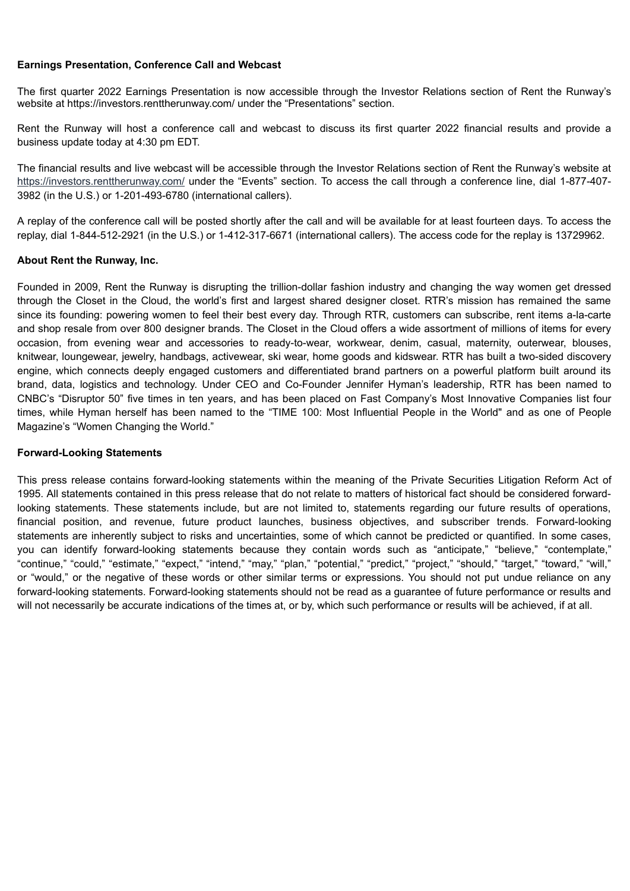## **Earnings Presentation, Conference Call and Webcast**

The first quarter 2022 Earnings Presentation is now accessible through the Investor Relations section of Rent the Runway's website at https://investors.renttherunway.com/ under the "Presentations" section.

Rent the Runway will host a conference call and webcast to discuss its first quarter 2022 financial results and provide a business update today at 4:30 pm EDT.

The financial results and live webcast will be accessible through the Investor Relations section of Rent the Runway's website at https://investors.renttherunway.com/ under the "Events" section. To access the call through a conference line, dial 1-877-407- 3982 (in the U.S.) or 1-201-493-6780 (international callers).

A replay of the conference call will be posted shortly after the call and will be available for at least fourteen days. To access the replay, dial 1-844-512-2921 (in the U.S.) or 1-412-317-6671 (international callers). The access code for the replay is 13729962.

## **About Rent the Runway, Inc.**

Founded in 2009, Rent the Runway is disrupting the trillion-dollar fashion industry and changing the way women get dressed through the Closet in the Cloud, the world's first and largest shared designer closet. RTR's mission has remained the same since its founding: powering women to feel their best every day. Through RTR, customers can subscribe, rent items a-la-carte and shop resale from over 800 designer brands. The Closet in the Cloud offers a wide assortment of millions of items for every occasion, from evening wear and accessories to ready-to-wear, workwear, denim, casual, maternity, outerwear, blouses, knitwear, loungewear, jewelry, handbags, activewear, ski wear, home goods and kidswear. RTR has built a two-sided discovery engine, which connects deeply engaged customers and differentiated brand partners on a powerful platform built around its brand, data, logistics and technology. Under CEO and Co-Founder Jennifer Hyman's leadership, RTR has been named to CNBC's "Disruptor 50" five times in ten years, and has been placed on Fast Company's Most Innovative Companies list four times, while Hyman herself has been named to the "TIME 100: Most Influential People in the World" and as one of People Magazine's "Women Changing the World."

#### **Forward-Looking Statements**

This press release contains forward-looking statements within the meaning of the Private Securities Litigation Reform Act of 1995. All statements contained in this press release that do not relate to matters of historical fact should be considered forwardlooking statements. These statements include, but are not limited to, statements regarding our future results of operations, financial position, and revenue, future product launches, business objectives, and subscriber trends. Forward-looking statements are inherently subject to risks and uncertainties, some of which cannot be predicted or quantified. In some cases, you can identify forward-looking statements because they contain words such as "anticipate," "believe," "contemplate," "continue," "could," "estimate," "expect," "intend," "may," "plan," "potential," "predict," "project," "should," "target," "toward," "will," or "would," or the negative of these words or other similar terms or expressions. You should not put undue reliance on any forward-looking statements. Forward-looking statements should not be read as a guarantee of future performance or results and will not necessarily be accurate indications of the times at, or by, which such performance or results will be achieved, if at all.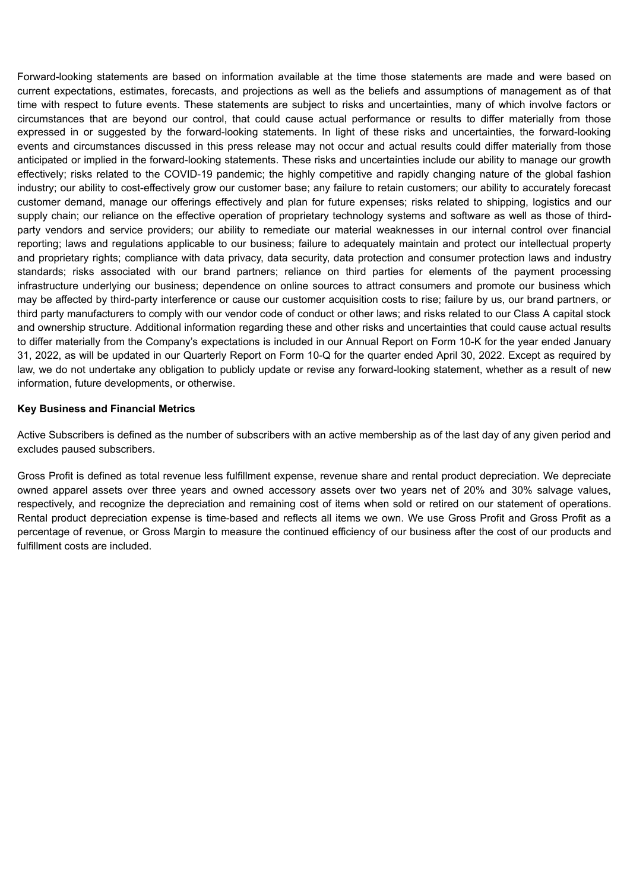Forward-looking statements are based on information available at the time those statements are made and were based on current expectations, estimates, forecasts, and projections as well as the beliefs and assumptions of management as of that time with respect to future events. These statements are subject to risks and uncertainties, many of which involve factors or circumstances that are beyond our control, that could cause actual performance or results to differ materially from those expressed in or suggested by the forward-looking statements. In light of these risks and uncertainties, the forward-looking events and circumstances discussed in this press release may not occur and actual results could differ materially from those anticipated or implied in the forward-looking statements. These risks and uncertainties include our ability to manage our growth effectively; risks related to the COVID-19 pandemic; the highly competitive and rapidly changing nature of the global fashion industry; our ability to cost-effectively grow our customer base; any failure to retain customers; our ability to accurately forecast customer demand, manage our offerings effectively and plan for future expenses; risks related to shipping, logistics and our supply chain; our reliance on the effective operation of proprietary technology systems and software as well as those of thirdparty vendors and service providers; our ability to remediate our material weaknesses in our internal control over financial reporting; laws and regulations applicable to our business; failure to adequately maintain and protect our intellectual property and proprietary rights; compliance with data privacy, data security, data protection and consumer protection laws and industry standards; risks associated with our brand partners; reliance on third parties for elements of the payment processing infrastructure underlying our business; dependence on online sources to attract consumers and promote our business which may be affected by third-party interference or cause our customer acquisition costs to rise; failure by us, our brand partners, or third party manufacturers to comply with our vendor code of conduct or other laws; and risks related to our Class A capital stock and ownership structure. Additional information regarding these and other risks and uncertainties that could cause actual results to differ materially from the Company's expectations is included in our Annual Report on Form 10-K for the year ended January 31, 2022, as will be updated in our Quarterly Report on Form 10-Q for the quarter ended April 30, 2022. Except as required by law, we do not undertake any obligation to publicly update or revise any forward-looking statement, whether as a result of new information, future developments, or otherwise.

## **Key Business and Financial Metrics**

Active Subscribers is defined as the number of subscribers with an active membership as of the last day of any given period and excludes paused subscribers.

Gross Profit is defined as total revenue less fulfillment expense, revenue share and rental product depreciation. We depreciate owned apparel assets over three years and owned accessory assets over two years net of 20% and 30% salvage values, respectively, and recognize the depreciation and remaining cost of items when sold or retired on our statement of operations. Rental product depreciation expense is time-based and reflects all items we own. We use Gross Profit and Gross Profit as a percentage of revenue, or Gross Margin to measure the continued efficiency of our business after the cost of our products and fulfillment costs are included.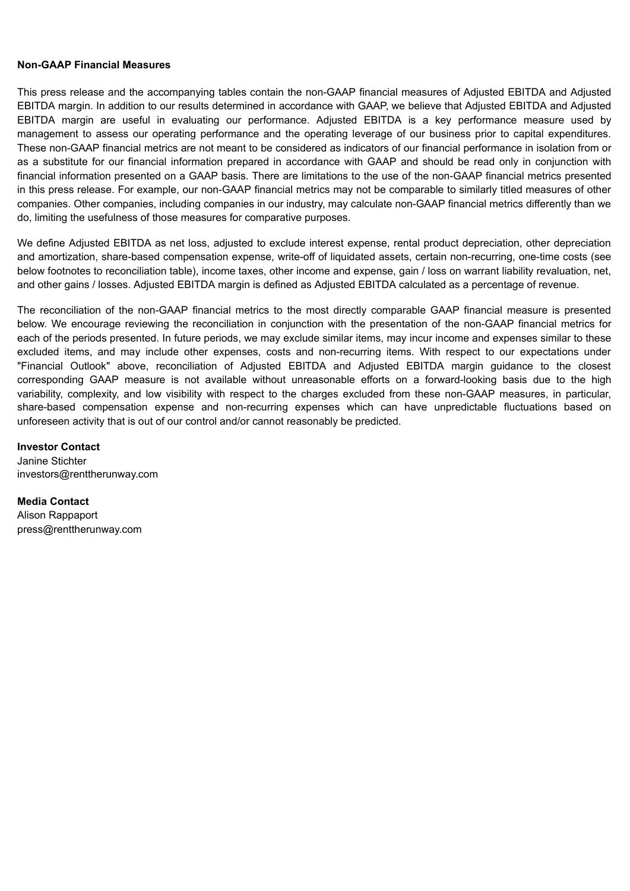## **Non-GAAP Financial Measures**

This press release and the accompanying tables contain the non-GAAP financial measures of Adjusted EBITDA and Adjusted EBITDA margin. In addition to our results determined in accordance with GAAP, we believe that Adjusted EBITDA and Adjusted EBITDA margin are useful in evaluating our performance. Adjusted EBITDA is a key performance measure used by management to assess our operating performance and the operating leverage of our business prior to capital expenditures. These non-GAAP financial metrics are not meant to be considered as indicators of our financial performance in isolation from or as a substitute for our financial information prepared in accordance with GAAP and should be read only in conjunction with financial information presented on a GAAP basis. There are limitations to the use of the non-GAAP financial metrics presented in this press release. For example, our non-GAAP financial metrics may not be comparable to similarly titled measures of other companies. Other companies, including companies in our industry, may calculate non-GAAP financial metrics differently than we do, limiting the usefulness of those measures for comparative purposes.

We define Adjusted EBITDA as net loss, adjusted to exclude interest expense, rental product depreciation, other depreciation and amortization, share-based compensation expense, write-off of liquidated assets, certain non-recurring, one-time costs (see below footnotes to reconciliation table), income taxes, other income and expense, gain / loss on warrant liability revaluation, net, and other gains / losses. Adjusted EBITDA margin is defined as Adjusted EBITDA calculated as a percentage of revenue.

The reconciliation of the non-GAAP financial metrics to the most directly comparable GAAP financial measure is presented below. We encourage reviewing the reconciliation in conjunction with the presentation of the non-GAAP financial metrics for each of the periods presented. In future periods, we may exclude similar items, may incur income and expenses similar to these excluded items, and may include other expenses, costs and non-recurring items. With respect to our expectations under "Financial Outlook" above, reconciliation of Adjusted EBITDA and Adjusted EBITDA margin guidance to the closest corresponding GAAP measure is not available without unreasonable efforts on a forward-looking basis due to the high variability, complexity, and low visibility with respect to the charges excluded from these non-GAAP measures, in particular, share-based compensation expense and non-recurring expenses which can have unpredictable fluctuations based on unforeseen activity that is out of our control and/or cannot reasonably be predicted.

**Investor Contact** Janine Stichter investors@renttherunway.com

**Media Contact** Alison Rappaport press@renttherunway.com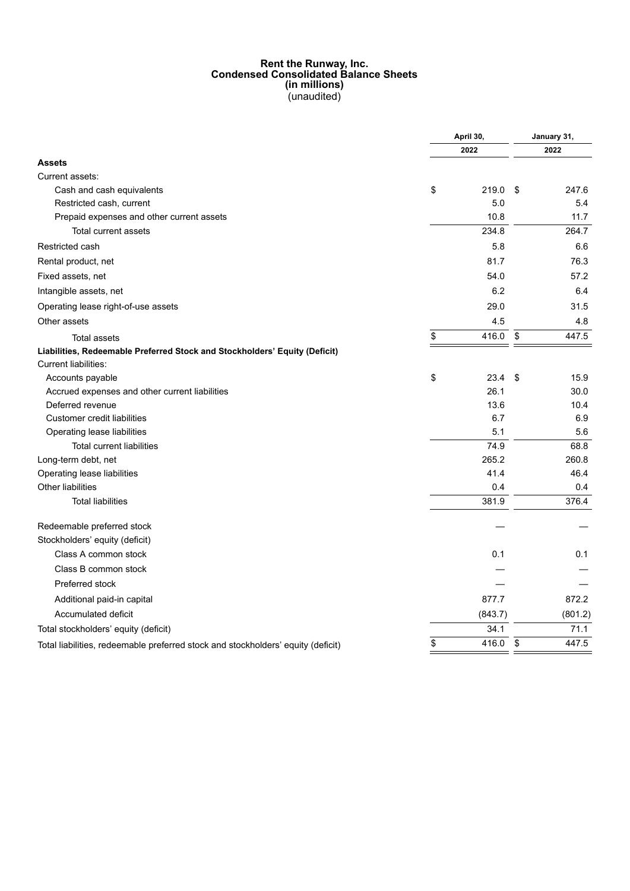#### **Rent the Runway, Inc. Condensed Consolidated Balance Sheets (in millions)** (unaudited)

|                                                                                  | April 30, |         |    | January 31, |  |
|----------------------------------------------------------------------------------|-----------|---------|----|-------------|--|
|                                                                                  |           | 2022    |    |             |  |
| <b>Assets</b>                                                                    |           |         |    |             |  |
| Current assets:                                                                  |           |         |    |             |  |
| Cash and cash equivalents                                                        | \$        | 219.0   | \$ | 247.6       |  |
| Restricted cash, current                                                         |           | 5.0     |    | 5.4         |  |
| Prepaid expenses and other current assets                                        |           | 10.8    |    | 11.7        |  |
| Total current assets                                                             |           | 234.8   |    | 264.7       |  |
| Restricted cash                                                                  |           | 5.8     |    | 6.6         |  |
| Rental product, net                                                              |           | 81.7    |    | 76.3        |  |
| Fixed assets, net                                                                |           | 54.0    |    | 57.2        |  |
| Intangible assets, net                                                           |           | 6.2     |    | 6.4         |  |
| Operating lease right-of-use assets                                              |           | 29.0    |    | 31.5        |  |
| Other assets                                                                     |           | 4.5     |    | 4.8         |  |
| <b>Total assets</b>                                                              | \$        | 416.0   | \$ | 447.5       |  |
| Liabilities, Redeemable Preferred Stock and Stockholders' Equity (Deficit)       |           |         |    |             |  |
| <b>Current liabilities:</b>                                                      |           |         |    |             |  |
| Accounts payable                                                                 | \$        | 23.4    | \$ | 15.9        |  |
| Accrued expenses and other current liabilities                                   |           | 26.1    |    | 30.0        |  |
| Deferred revenue                                                                 |           | 13.6    |    | 10.4        |  |
| <b>Customer credit liabilities</b>                                               |           | 6.7     |    | 6.9         |  |
| Operating lease liabilities                                                      |           | 5.1     |    | 5.6         |  |
| <b>Total current liabilities</b>                                                 |           | 74.9    |    | 68.8        |  |
| Long-term debt, net                                                              |           | 265.2   |    | 260.8       |  |
| Operating lease liabilities                                                      |           | 41.4    |    | 46.4        |  |
| Other liabilities                                                                |           | 0.4     |    | 0.4         |  |
| <b>Total liabilities</b>                                                         |           | 381.9   |    | 376.4       |  |
| Redeemable preferred stock                                                       |           |         |    |             |  |
| Stockholders' equity (deficit)                                                   |           |         |    |             |  |
| Class A common stock                                                             |           | 0.1     |    | 0.1         |  |
| Class B common stock                                                             |           |         |    |             |  |
| Preferred stock                                                                  |           |         |    |             |  |
| Additional paid-in capital                                                       |           | 877.7   |    | 872.2       |  |
| Accumulated deficit                                                              |           | (843.7) |    | (801.2)     |  |
| Total stockholders' equity (deficit)                                             |           | 34.1    |    | 71.1        |  |
| Total liabilities, redeemable preferred stock and stockholders' equity (deficit) | \$        | 416.0   | \$ | 447.5       |  |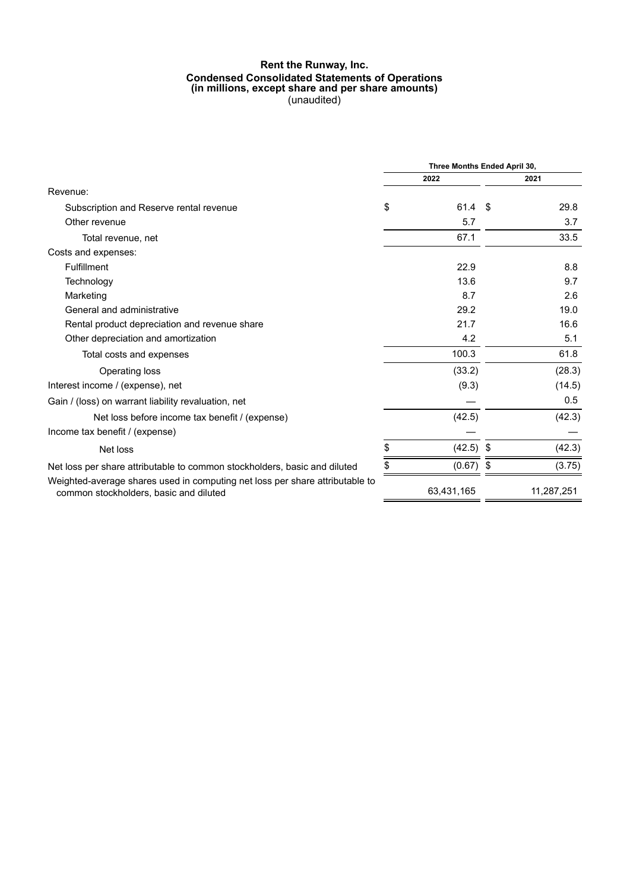#### **Rent the Runway, Inc. Condensed Consolidated Statements of Operations (in millions, except share and per share amounts)** (unaudited)

|                                                                                                                        | Three Months Ended April 30, |             |  |            |
|------------------------------------------------------------------------------------------------------------------------|------------------------------|-------------|--|------------|
|                                                                                                                        |                              | 2022        |  | 2021       |
| Revenue:                                                                                                               |                              |             |  |            |
| Subscription and Reserve rental revenue                                                                                | \$                           | $61.4$ \$   |  | 29.8       |
| Other revenue                                                                                                          |                              | 5.7         |  | 3.7        |
| Total revenue, net                                                                                                     |                              | 67.1        |  | 33.5       |
| Costs and expenses:                                                                                                    |                              |             |  |            |
| <b>Fulfillment</b>                                                                                                     |                              | 22.9        |  | 8.8        |
| Technology                                                                                                             |                              | 13.6        |  | 9.7        |
| Marketing                                                                                                              |                              | 8.7         |  | 2.6        |
| General and administrative                                                                                             |                              | 29.2        |  | 19.0       |
| Rental product depreciation and revenue share                                                                          |                              | 21.7        |  | 16.6       |
| Other depreciation and amortization                                                                                    |                              | 4.2         |  | 5.1        |
| Total costs and expenses                                                                                               |                              | 100.3       |  | 61.8       |
| Operating loss                                                                                                         |                              | (33.2)      |  | (28.3)     |
| Interest income / (expense), net                                                                                       |                              | (9.3)       |  | (14.5)     |
| Gain / (loss) on warrant liability revaluation, net                                                                    |                              |             |  | 0.5        |
| Net loss before income tax benefit / (expense)                                                                         |                              | (42.5)      |  | (42.3)     |
| Income tax benefit / (expense)                                                                                         |                              |             |  |            |
| Net loss                                                                                                               | \$                           | $(42.5)$ \$ |  | (42.3)     |
| Net loss per share attributable to common stockholders, basic and diluted                                              | \$                           | $(0.67)$ \$ |  | (3.75)     |
| Weighted-average shares used in computing net loss per share attributable to<br>common stockholders, basic and diluted |                              | 63,431,165  |  | 11,287,251 |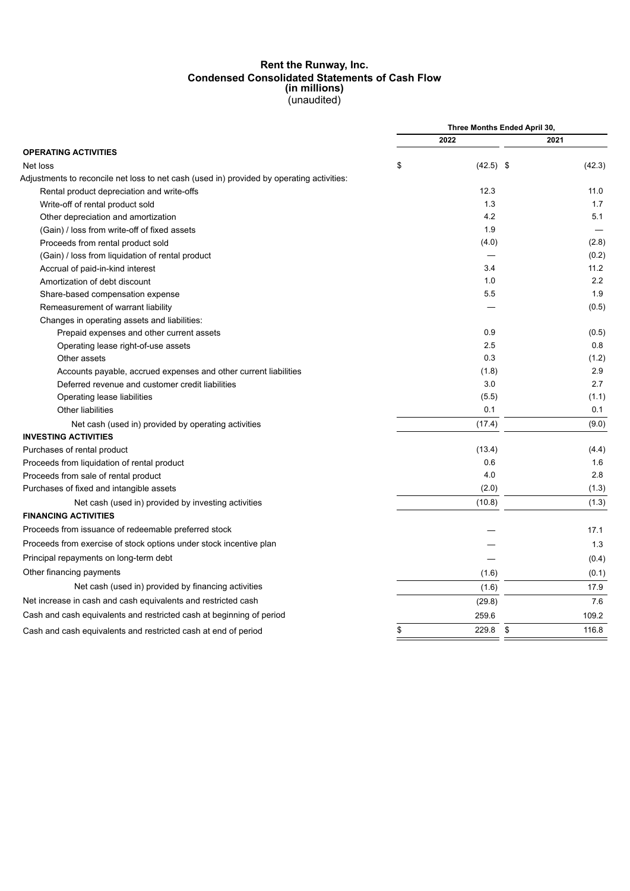#### **Rent the Runway, Inc. Condensed Consolidated Statements of Cash Flow (in millions)** (unaudited)

|                                                                                           | Three Months Ended April 30, |             |  |  |
|-------------------------------------------------------------------------------------------|------------------------------|-------------|--|--|
|                                                                                           | 2022                         | 2021        |  |  |
| <b>OPERATING ACTIVITIES</b>                                                               |                              |             |  |  |
| Net loss                                                                                  | \$<br>$(42.5)$ \$            | (42.3)      |  |  |
| Adjustments to reconcile net loss to net cash (used in) provided by operating activities: |                              |             |  |  |
| Rental product depreciation and write-offs                                                | 12.3                         | 11.0        |  |  |
| Write-off of rental product sold                                                          | 1.3                          | 1.7         |  |  |
| Other depreciation and amortization                                                       | 4.2                          | 5.1         |  |  |
| (Gain) / loss from write-off of fixed assets                                              | 1.9                          |             |  |  |
| Proceeds from rental product sold                                                         | (4.0)                        | (2.8)       |  |  |
| (Gain) / loss from liquidation of rental product                                          |                              | (0.2)       |  |  |
| Accrual of paid-in-kind interest                                                          | 3.4                          | 11.2        |  |  |
| Amortization of debt discount                                                             | 1.0                          | 2.2         |  |  |
| Share-based compensation expense                                                          | 5.5                          | 1.9         |  |  |
| Remeasurement of warrant liability                                                        |                              | (0.5)       |  |  |
| Changes in operating assets and liabilities:                                              |                              |             |  |  |
| Prepaid expenses and other current assets                                                 | 0.9                          | (0.5)       |  |  |
| Operating lease right-of-use assets                                                       | 2.5                          | 0.8         |  |  |
| Other assets                                                                              | 0.3                          | (1.2)       |  |  |
| Accounts payable, accrued expenses and other current liabilities                          | (1.8)                        | 2.9         |  |  |
| Deferred revenue and customer credit liabilities                                          | 3.0                          | 2.7         |  |  |
| Operating lease liabilities                                                               | (5.5)                        | (1.1)       |  |  |
| Other liabilities                                                                         | 0.1                          | 0.1         |  |  |
| Net cash (used in) provided by operating activities                                       | (17.4)                       | (9.0)       |  |  |
| <b>INVESTING ACTIVITIES</b>                                                               |                              |             |  |  |
| Purchases of rental product                                                               | (13.4)                       | (4.4)       |  |  |
| Proceeds from liquidation of rental product                                               | 0.6                          | 1.6         |  |  |
| Proceeds from sale of rental product                                                      | 4.0                          | 2.8         |  |  |
| Purchases of fixed and intangible assets                                                  | (2.0)                        | (1.3)       |  |  |
| Net cash (used in) provided by investing activities                                       | (10.8)                       | (1.3)       |  |  |
| <b>FINANCING ACTIVITIES</b>                                                               |                              |             |  |  |
| Proceeds from issuance of redeemable preferred stock                                      |                              | 17.1        |  |  |
| Proceeds from exercise of stock options under stock incentive plan                        |                              | 1.3         |  |  |
| Principal repayments on long-term debt                                                    |                              | (0.4)       |  |  |
| Other financing payments                                                                  | (1.6)                        | (0.1)       |  |  |
| Net cash (used in) provided by financing activities                                       | (1.6)                        | 17.9        |  |  |
| Net increase in cash and cash equivalents and restricted cash                             | (29.8)                       | 7.6         |  |  |
| Cash and cash equivalents and restricted cash at beginning of period                      | 259.6                        | 109.2       |  |  |
| Cash and cash equivalents and restricted cash at end of period                            | \$<br>229.8                  | \$<br>116.8 |  |  |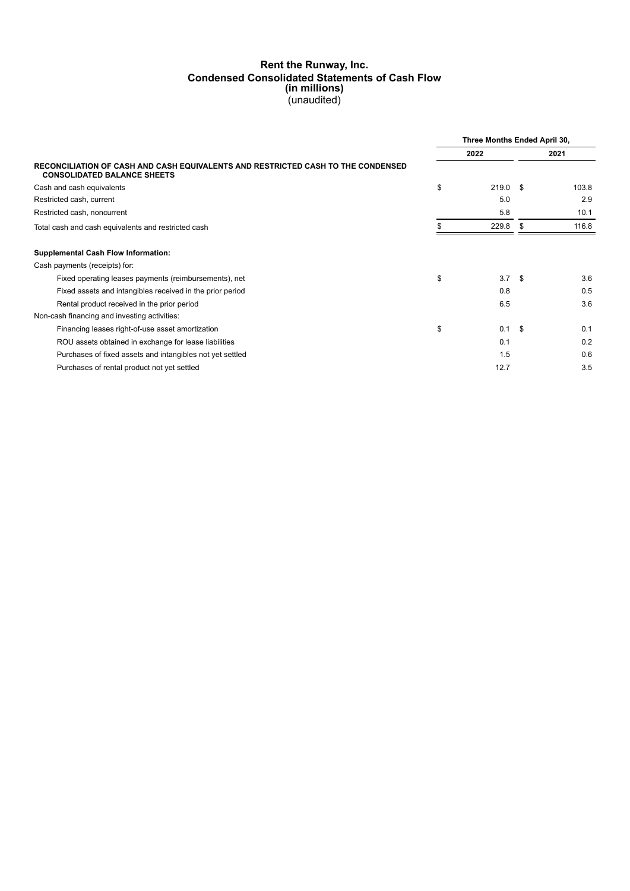## **Rent the Runway, Inc. Condensed Consolidated Statements of Cash Flow (in millions)** (unaudited)

|                                                                                                                        | Three Months Ended April 30, |            |      |       |
|------------------------------------------------------------------------------------------------------------------------|------------------------------|------------|------|-------|
|                                                                                                                        |                              | 2022       |      | 2021  |
| RECONCILIATION OF CASH AND CASH EQUIVALENTS AND RESTRICTED CASH TO THE CONDENSED<br><b>CONSOLIDATED BALANCE SHEETS</b> |                              |            |      |       |
| Cash and cash equivalents                                                                                              | \$                           | $219.0$ \$ |      | 103.8 |
| Restricted cash, current                                                                                               |                              | 5.0        |      | 2.9   |
| Restricted cash, noncurrent                                                                                            |                              | 5.8        |      | 10.1  |
| Total cash and cash equivalents and restricted cash                                                                    |                              | 229.8      | -S   | 116.8 |
| <b>Supplemental Cash Flow Information:</b>                                                                             |                              |            |      |       |
| Cash payments (receipts) for:                                                                                          |                              |            |      |       |
| Fixed operating leases payments (reimbursements), net                                                                  | \$                           | 3.7        | - \$ | 3.6   |
| Fixed assets and intangibles received in the prior period                                                              |                              | 0.8        |      | 0.5   |
| Rental product received in the prior period                                                                            |                              | 6.5        |      | 3.6   |
| Non-cash financing and investing activities:                                                                           |                              |            |      |       |
| Financing leases right-of-use asset amortization                                                                       | \$                           | 0.1        | - \$ | 0.1   |
| ROU assets obtained in exchange for lease liabilities                                                                  |                              | 0.1        |      | 0.2   |
| Purchases of fixed assets and intangibles not yet settled                                                              |                              | 1.5        |      | 0.6   |
| Purchases of rental product not yet settled                                                                            |                              | 12.7       |      | 3.5   |